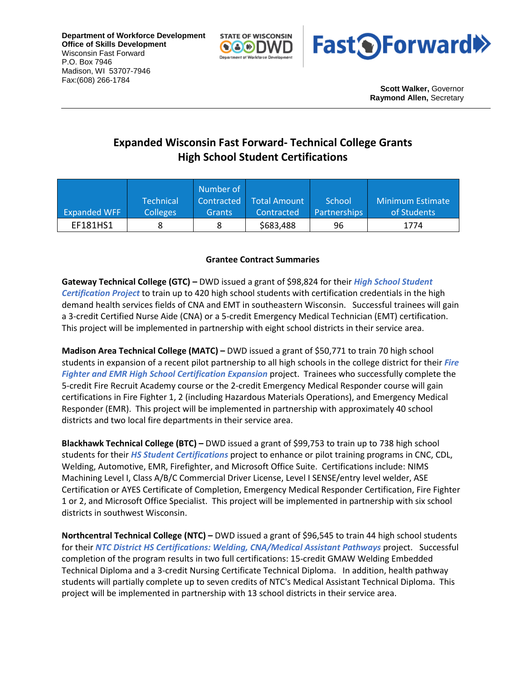**Department of Workforce Development Office of Skills Development** Wisconsin Fast Forward P.O. Box 7946 Madison, WI 53707-7946 Fax:(608) 266-1784





**Scott Walker,** Governor **Raymond Allen,** Secretary

## **Expanded Wisconsin Fast Forward- Technical College Grants High School Student Certifications**

|                     |                  | Number of     |              |                     |                  |
|---------------------|------------------|---------------|--------------|---------------------|------------------|
|                     | <b>Technical</b> | Contracted    | Total Amount | School              | Minimum Estimate |
| <b>Expanded WFF</b> | <b>Colleges</b>  | <b>Grants</b> | Contracted   | <b>Partnerships</b> | of Students      |
| EF181HS1            |                  |               | \$683,488    | 96                  | 1774             |

## **Grantee Contract Summaries**

**Gateway Technical College (GTC) –** DWD issued a grant of \$98,824 for their *High School Student Certification Project* to train up to 420 high school students with certification credentials in the high demand health services fields of CNA and EMT in southeastern Wisconsin. Successful trainees will gain a 3-credit Certified Nurse Aide (CNA) or a 5-credit Emergency Medical Technician (EMT) certification. This project will be implemented in partnership with eight school districts in their service area.

**Madison Area Technical College (MATC) –** DWD issued a grant of \$50,771 to train 70 high school students in expansion of a recent pilot partnership to all high schools in the college district for their *Fire Fighter and EMR High School Certification Expansion* project. Trainees who successfully complete the 5-credit Fire Recruit Academy course or the 2-credit Emergency Medical Responder course will gain certifications in Fire Fighter 1, 2 (including Hazardous Materials Operations), and Emergency Medical Responder (EMR). This project will be implemented in partnership with approximately 40 school districts and two local fire departments in their service area.

**Blackhawk Technical College (BTC) –** DWD issued a grant of \$99,753 to train up to 738 high school students for their *HS Student Certifications* project to enhance or pilot training programs in CNC, CDL, Welding, Automotive, EMR, Firefighter, and Microsoft Office Suite. Certifications include: NIMS Machining Level I, Class A/B/C Commercial Driver License, Level I SENSE/entry level welder, ASE Certification or AYES Certificate of Completion, Emergency Medical Responder Certification, Fire Fighter 1 or 2, and Microsoft Office Specialist. This project will be implemented in partnership with six school districts in southwest Wisconsin.

**Northcentral Technical College (NTC) –** DWD issued a grant of \$96,545 to train 44 high school students for their *NTC District HS Certifications: Welding, CNA/Medical Assistant Pathways* project. Successful completion of the program results in two full certifications: 15-credit GMAW Welding Embedded Technical Diploma and a 3-credit Nursing Certificate Technical Diploma. In addition, health pathway students will partially complete up to seven credits of NTC's Medical Assistant Technical Diploma. This project will be implemented in partnership with 13 school districts in their service area.